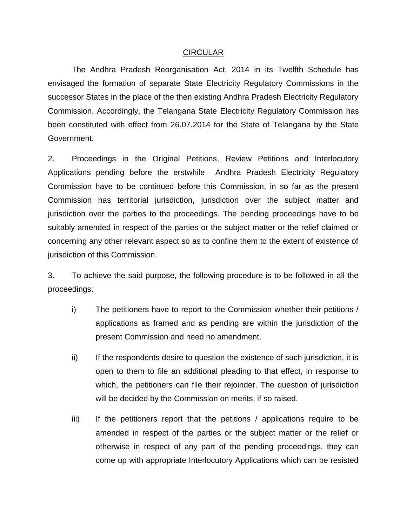## CIRCULAR

The Andhra Pradesh Reorganisation Act, 2014 in its Twelfth Schedule has envisaged the formation of separate State Electricity Regulatory Commissions in the successor States in the place of the then existing Andhra Pradesh Electricity Regulatory Commission. Accordingly, the Telangana State Electricity Regulatory Commission has been constituted with effect from 26.07.2014 for the State of Telangana by the State Government.

2. Proceedings in the Original Petitions, Review Petitions and Interlocutory Applications pending before the erstwhile Andhra Pradesh Electricity Regulatory Commission have to be continued before this Commission, in so far as the present Commission has territorial jurisdiction, jurisdiction over the subject matter and jurisdiction over the parties to the proceedings. The pending proceedings have to be suitably amended in respect of the parties or the subject matter or the relief claimed or concerning any other relevant aspect so as to confine them to the extent of existence of jurisdiction of this Commission.

3. To achieve the said purpose, the following procedure is to be followed in all the proceedings:

- i) The petitioners have to report to the Commission whether their petitions / applications as framed and as pending are within the jurisdiction of the present Commission and need no amendment.
- ii) If the respondents desire to question the existence of such jurisdiction, it is open to them to file an additional pleading to that effect, in response to which, the petitioners can file their rejoinder. The question of jurisdiction will be decided by the Commission on merits, if so raised.
- $\overline{ii}$  If the petitioners report that the petitions / applications require to be amended in respect of the parties or the subject matter or the relief or otherwise in respect of any part of the pending proceedings, they can come up with appropriate Interlocutory Applications which can be resisted